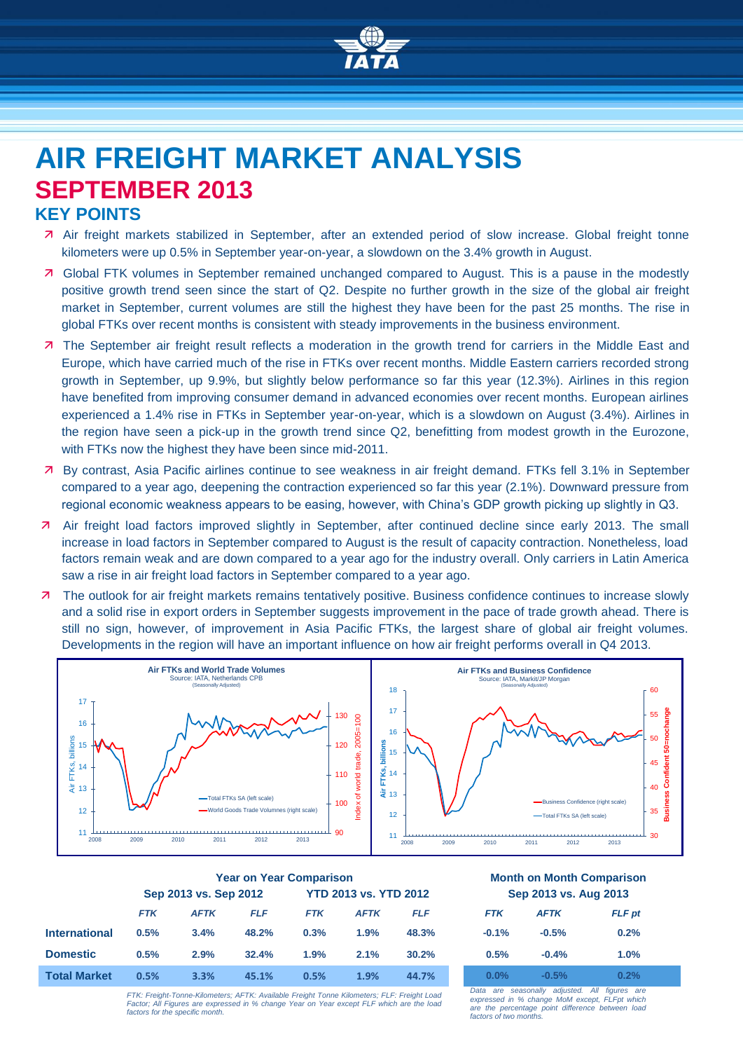

# **AIR FREIGHT MARKET ANALYSIS SEPTEMBER 2013 KEY POINTS**

- Air freight markets stabilized in September, after an extended period of slow increase. Global freight tonne kilometers were up 0.5% in September year-on-year, a slowdown on the 3.4% growth in August.
- Global FTK volumes in September remained unchanged compared to August. This is a pause in the modestly positive growth trend seen since the start of Q2. Despite no further growth in the size of the global air freight market in September, current volumes are still the highest they have been for the past 25 months. The rise in global FTKs over recent months is consistent with steady improvements in the business environment.
- 7 The September air freight result reflects a moderation in the growth trend for carriers in the Middle East and Europe, which have carried much of the rise in FTKs over recent months. Middle Eastern carriers recorded strong growth in September, up 9.9%, but slightly below performance so far this year (12.3%). Airlines in this region have benefited from improving consumer demand in advanced economies over recent months. European airlines experienced a 1.4% rise in FTKs in September year-on-year, which is a slowdown on August (3.4%). Airlines in the region have seen a pick-up in the growth trend since Q2, benefitting from modest growth in the Eurozone, with FTKs now the highest they have been since mid-2011.
- By contrast, Asia Pacific airlines continue to see weakness in air freight demand. FTKs fell 3.1% in September compared to a year ago, deepening the contraction experienced so far this year (2.1%). Downward pressure from regional economic weakness appears to be easing, however, with China's GDP growth picking up slightly in Q3.
- Air freight load factors improved slightly in September, after continued decline since early 2013. The small increase in load factors in September compared to August is the result of capacity contraction. Nonetheless, load factors remain weak and are down compared to a year ago for the industry overall. Only carriers in Latin America saw a rise in air freight load factors in September compared to a year ago.
- **7** The outlook for air freight markets remains tentatively positive. Business confidence continues to increase slowly and a solid rise in export orders in September suggests improvement in the pace of trade growth ahead. There is still no sign, however, of improvement in Asia Pacific FTKs, the largest share of global air freight volumes. Developments in the region will have an important influence on how air freight performs overall in Q4 2013.



|                      | <b>Year on Year Comparison</b> |             |            |                              |             | <b>Month on Month Compariso</b> |                       |             |        |
|----------------------|--------------------------------|-------------|------------|------------------------------|-------------|---------------------------------|-----------------------|-------------|--------|
|                      | Sep 2013 vs. Sep 2012          |             |            | <b>YTD 2013 vs. YTD 2012</b> |             |                                 | Sep 2013 vs. Aug 2013 |             |        |
|                      | <b>FTK</b>                     | <b>AFTK</b> | <b>FLF</b> | <b>FTK</b>                   | <b>AFTK</b> | <b>FLF</b>                      | <b>FTK</b>            | <b>AFTK</b> | FLF pi |
| <b>International</b> | 0.5%                           | 3.4%        | 48.2%      | 0.3%                         | 1.9%        | 48.3%                           | $-0.1%$               | $-0.5%$     | 0.2%   |
| <b>Domestic</b>      | 0.5%                           | 2.9%        | 32.4%      | 1.9%                         | 2.1%        | 30.2%                           | 0.5%                  | $-0.4%$     | 1.0%   |
| <b>Total Market</b>  | 0.5%                           | 3.3%        | 45.1%      | 0.5%                         | 1.9%        | 44.7%                           | $0.0\%$               | $-0.5%$     | 0.2%   |

## **Year on Year Comparison Month on Month Comparison**

| Sep 2013 vs. Aug 2013 |             |               |  |  |  |  |  |
|-----------------------|-------------|---------------|--|--|--|--|--|
| <b>FTK</b>            | <b>AFTK</b> | <b>FLF</b> pt |  |  |  |  |  |
| $-0.1%$               | $-0.5%$     | 0.2%          |  |  |  |  |  |
| 0.5%                  | $-0.4%$     | 1.0%          |  |  |  |  |  |
| $0.0\%$               | $-0.5%$     | 0.2%          |  |  |  |  |  |

*FTK: Freight-Tonne-Kilometers; AFTK: Available Freight Tonne Kilometers; FLF: Freight Load Factor; All Figures are expressed in % change Year on Year except FLF which are the load factors for the specific month.*

**Data are seasonally adjusted. All figures** *expressed in % change MoM except, FLFpt which are the percentage point difference between load factors of two months.*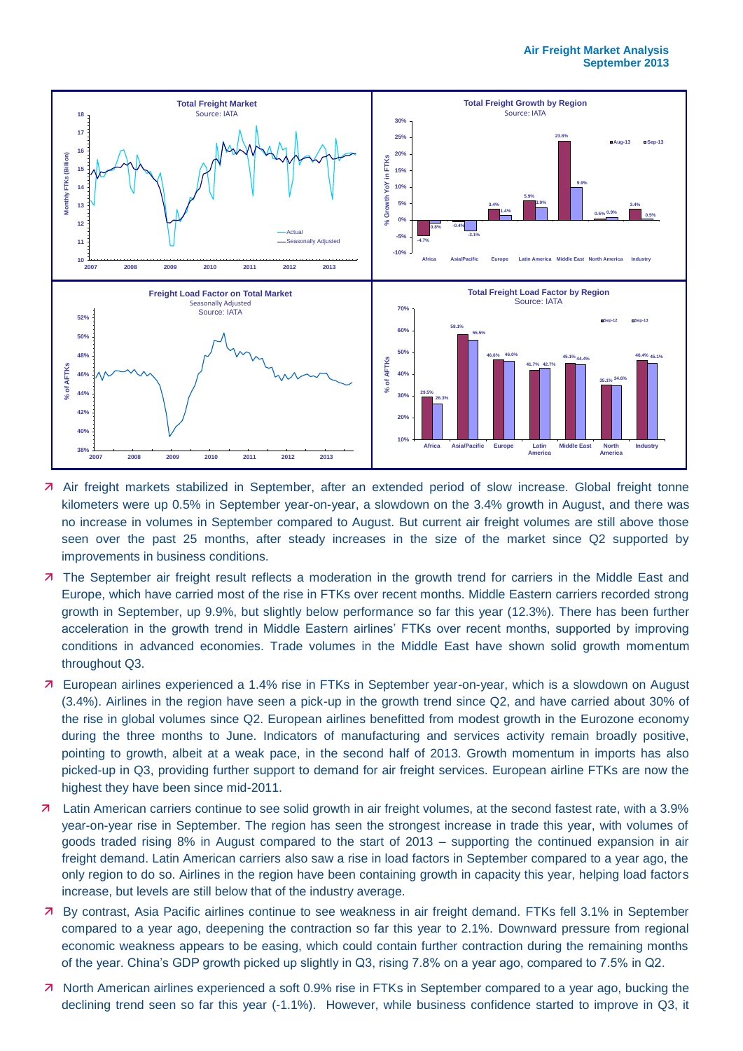

- Air freight markets stabilized in September, after an extended period of slow increase. Global freight tonne kilometers were up 0.5% in September year-on-year, a slowdown on the 3.4% growth in August, and there was no increase in volumes in September compared to August. But current air freight volumes are still above those seen over the past 25 months, after steady increases in the size of the market since Q2 supported by improvements in business conditions.
- The September air freight result reflects a moderation in the growth trend for carriers in the Middle East and Europe, which have carried most of the rise in FTKs over recent months. Middle Eastern carriers recorded strong growth in September, up 9.9%, but slightly below performance so far this year (12.3%). There has been further acceleration in the growth trend in Middle Eastern airlines' FTKs over recent months, supported by improving conditions in advanced economies. Trade volumes in the Middle East have shown solid growth momentum throughout Q3.
- 7 European airlines experienced a 1.4% rise in FTKs in September year-on-year, which is a slowdown on August (3.4%). Airlines in the region have seen a pick-up in the growth trend since Q2, and have carried about 30% of the rise in global volumes since Q2. European airlines benefitted from modest growth in the Eurozone economy during the three months to June. Indicators of manufacturing and services activity remain broadly positive, pointing to growth, albeit at a weak pace, in the second half of 2013. Growth momentum in imports has also picked-up in Q3, providing further support to demand for air freight services. European airline FTKs are now the highest they have been since mid-2011.
- Latin American carriers continue to see solid growth in air freight volumes, at the second fastest rate, with a 3.9% year-on-year rise in September. The region has seen the strongest increase in trade this year, with volumes of goods traded rising 8% in August compared to the start of 2013 – supporting the continued expansion in air freight demand. Latin American carriers also saw a rise in load factors in September compared to a year ago, the only region to do so. Airlines in the region have been containing growth in capacity this year, helping load factors increase, but levels are still below that of the industry average.
- By contrast, Asia Pacific airlines continue to see weakness in air freight demand. FTKs fell 3.1% in September compared to a year ago, deepening the contraction so far this year to 2.1%. Downward pressure from regional economic weakness appears to be easing, which could contain further contraction during the remaining months of the year. China's GDP growth picked up slightly in Q3, rising 7.8% on a year ago, compared to 7.5% in Q2.
- North American airlines experienced a soft 0.9% rise in FTKs in September compared to a year ago, bucking the declining trend seen so far this year (-1.1%). However, while business confidence started to improve in Q3, it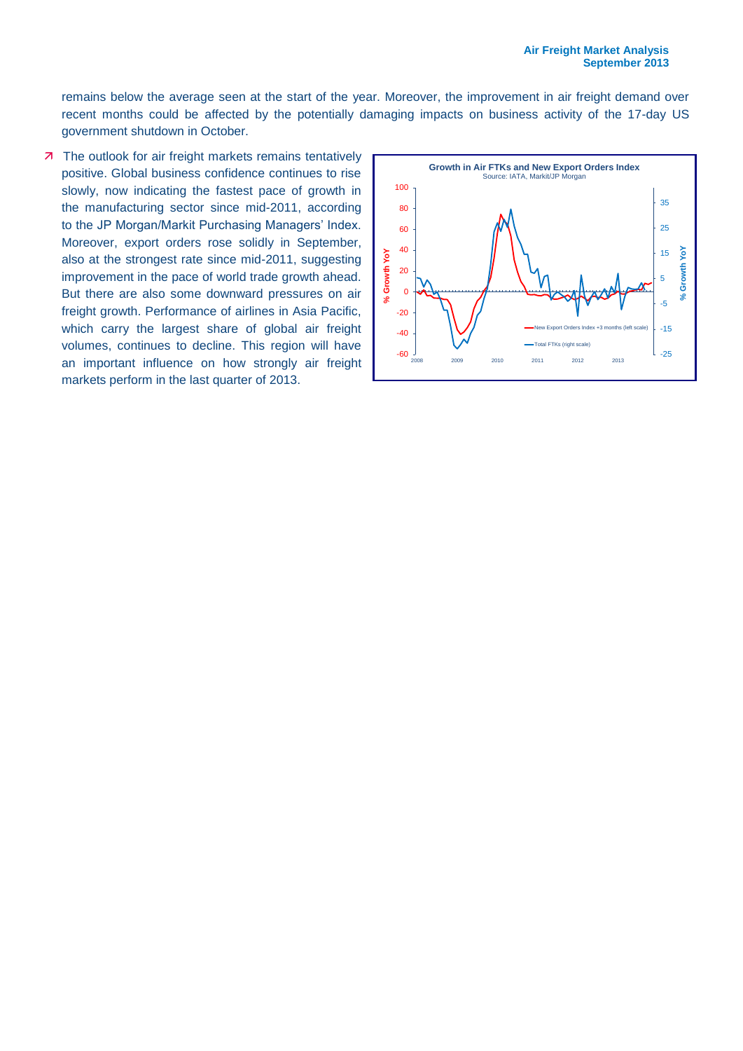remains below the average seen at the start of the year. Moreover, the improvement in air freight demand over recent months could be affected by the potentially damaging impacts on business activity of the 17-day US government shutdown in October.

7 The outlook for air freight markets remains tentatively positive. Global business confidence continues to rise slowly, now indicating the fastest pace of growth in the manufacturing sector since mid-2011, according to the JP Morgan/Markit Purchasing Managers' Index. Moreover, export orders rose solidly in September, also at the strongest rate since mid-2011, suggesting improvement in the pace of world trade growth ahead. But there are also some downward pressures on air freight growth. Performance of airlines in Asia Pacific, which carry the largest share of global air freight volumes, continues to decline. This region will have an important influence on how strongly air freight markets perform in the last quarter of 2013.